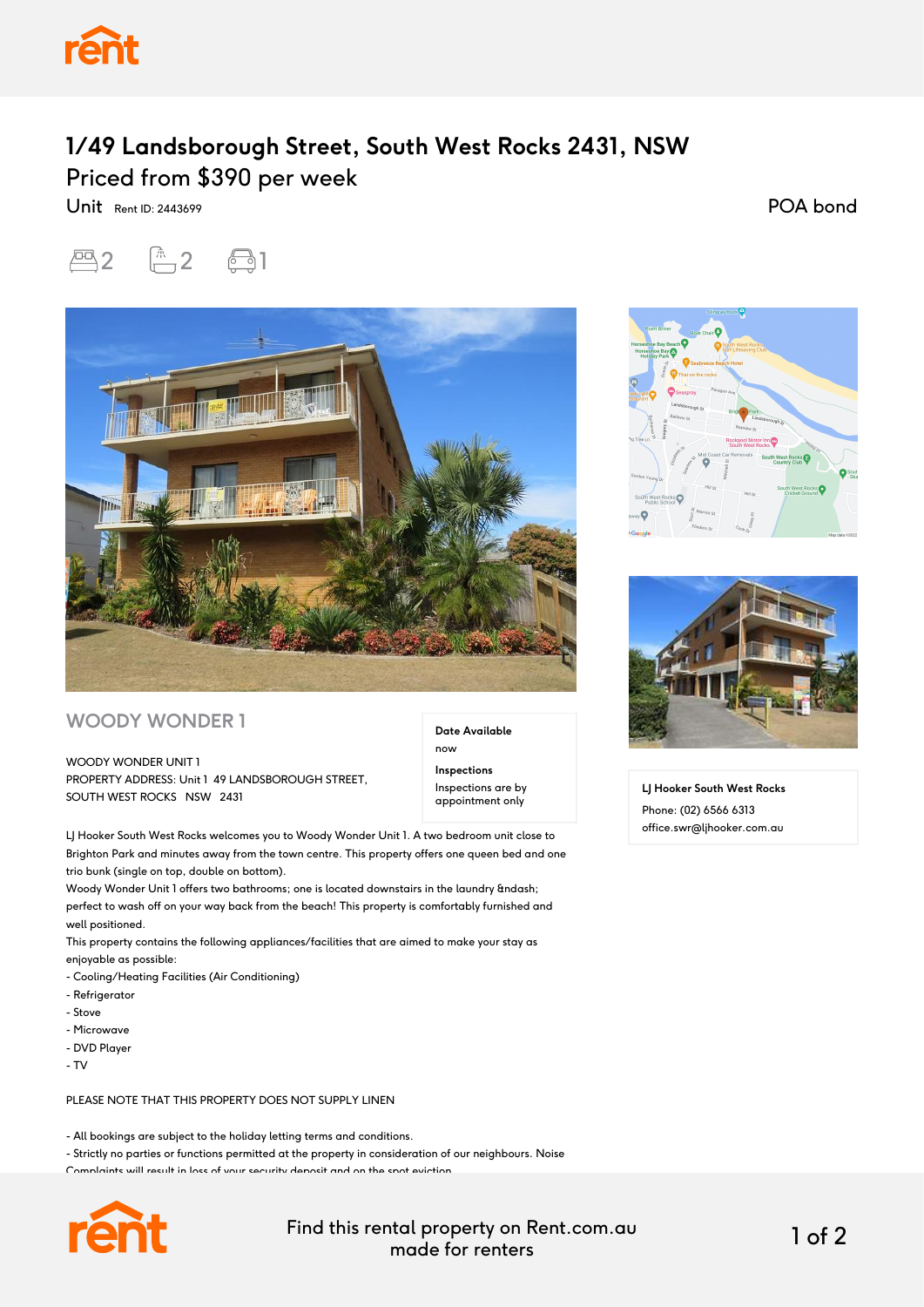

## **1/49 Landsborough Street, South West Rocks 2431, NSW** Priced from \$390 per week

Unit Rent ID: 2443699

POA bond





## **WOODY WONDER 1**

WOODY WONDER UNIT 1 PROPERTY ADDRESS: Unit 1 49 LANDSBOROUGH STREET, SOUTH WEST ROCKS NSW 2431

**Date Available** now **Inspections** Inspections are by appointment only

LJ Hooker South West Rocks welcomes you to Woody Wonder Unit 1. A two bedroom unit close to Brighton Park and minutes away from the town centre. This property offers one queen bed and one trio bunk (single on top, double on bottom).

Woody Wonder Unit 1 offers two bathrooms; one is located downstairs in the laundry – perfect to wash off on your way back from the beach! This property is comfortably furnished and well positioned.

This property contains the following appliances/facilities that are aimed to make your stay as enjoyable as possible:

- Cooling/Heating Facilities (Air Conditioning)
- Refrigerator
- Stove
- Microwave
- DVD Player
- $T V$

PLEASE NOTE THAT THIS PROPERTY DOES NOT SUPPLY LINEN

- All bookings are subject to the holiday letting terms and conditions.

- Strictly no parties or functions permitted at the property in consideration of our neighbours. Noise

Complaints will result in loss of your security deposit and on the spot eviction.



Find this rental property on Rent.com.au made for renters 1 of 2





**LJ Hooker South West Rocks** Phone: (02) 6566 6313 office.swr@ljhooker.com.au